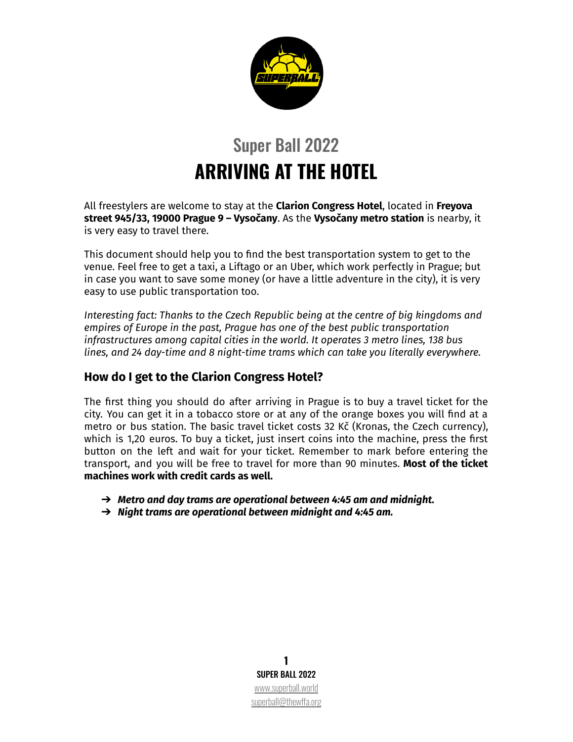

# Super Ball 2022 **ARRIVING AT THE HOTEL**

All freestylers are welcome to stay at the **Clarion Congress Hotel**, located in **Freyova street 945/33, 19000 Prague 9 – Vysočany**. As the **Vysočany metro station** is nearby, it is very easy to travel there.

This document should help you to find the best transportation system to get to the venue. Feel free to get a taxi, a Liftago or an Uber, which work perfectly in Prague; but in case you want to save some money (or have a little adventure in the city), it is very easy to use public transportation too.

*Interesting fact: Thanks to the Czech Republic being at the centre of big kingdoms and empires of Europe in the past, Prague has one of the best public transportation infrastructures among capital cities in the world. It operates 3 metro lines, 138 bus lines, and 24 day-time and 8 night-time trams which can take you literally everywhere.*

#### **How do I get to the Clarion Congress Hotel?**

The first thing you should do after arriving in Prague is to buy a travel ticket for the city. You can get it in a tobacco store or at any of the orange boxes you will find at a metro or bus station. The basic travel ticket costs 32 Kč (Kronas, the Czech currency), which is 1,20 euros. To buy a ticket, just insert coins into the machine, press the first button on the left and wait for your ticket. Remember to mark before entering the transport, and you will be free to travel for more than 90 minutes. **Most of the ticket machines work with credit cards as well.**

- ➔ *Metro and day trams are operational between 4:45 am and midnight.*
- ➔ *Night trams are operational between midnight and 4:45 am.*

**1** SUPER BALL 2022 [www.superball.world](http://www.superball.world) [superball@thewffa.org](mailto:superball@thewffa.org)